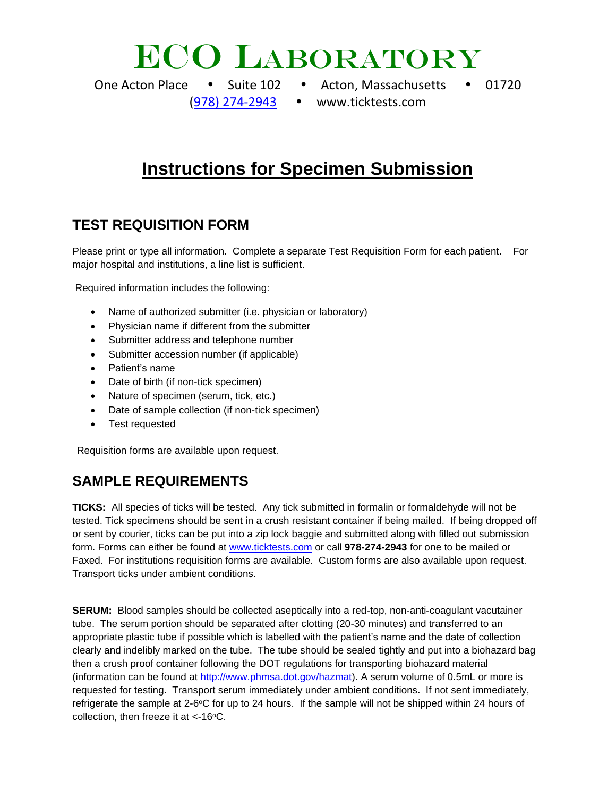## **ECO LABORATORY**

- One Acton Place Suite 102 Acton, Massachusetts 01720
	- [\(978\) 274-2943](tel:9782742943) www.ticktests.com

## **Instructions for Specimen Submission**

### **TEST REQUISITION FORM**

Please print or type all information. Complete a separate Test Requisition Form for each patient. For major hospital and institutions, a line list is sufficient.

Required information includes the following:

- Name of authorized submitter (i.e. physician or laboratory)
- Physician name if different from the submitter
- Submitter address and telephone number
- Submitter accession number (if applicable)
- Patient's name
- Date of birth (if non-tick specimen)
- Nature of specimen (serum, tick, etc.)
- Date of sample collection (if non-tick specimen)
- Test requested

Requisition forms are available upon request.

#### **SAMPLE REQUIREMENTS**

**TICKS:** All species of ticks will be tested. Any tick submitted in formalin or formaldehyde will not be tested. Tick specimens should be sent in a crush resistant container if being mailed. If being dropped off or sent by courier, ticks can be put into a zip lock baggie and submitted along with filled out submission form. Forms can either be found at [www.ticktests.com](http://www.ticktests.com/) or call **978-274-2943** for one to be mailed or Faxed. For institutions requisition forms are available. Custom forms are also available upon request. Transport ticks under ambient conditions.

**SERUM:** Blood samples should be collected aseptically into a red-top, non-anti-coagulant vacutainer tube. The serum portion should be separated after clotting (20-30 minutes) and transferred to an appropriate plastic tube if possible which is labelled with the patient's name and the date of collection clearly and indelibly marked on the tube. The tube should be sealed tightly and put into a biohazard bag then a crush proof container following the DOT regulations for transporting biohazard material (information can be found at [http://www.phmsa.dot.gov/hazmat\)](http://www.phmsa.dot.gov/hazmat). A serum volume of 0.5mL or more is requested for testing. Transport serum immediately under ambient conditions. If not sent immediately, refrigerate the sample at 2-6 $\degree$ C for up to 24 hours. If the sample will not be shipped within 24 hours of collection, then freeze it at  $<$ -16 $\degree$ C.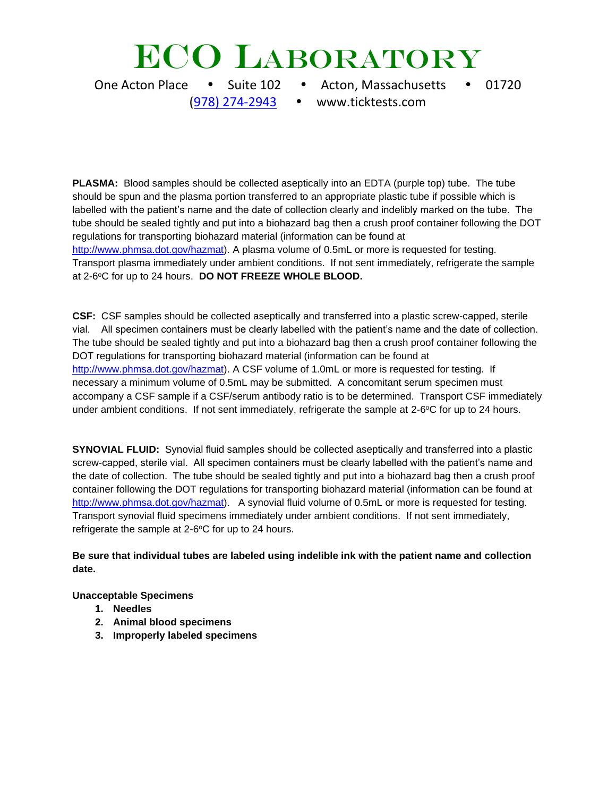# **ECO LABORATORY**

One Acton Place • Suite 102 • Acton, Massachusetts • 01720 [\(978\) 274-2943](tel:9782742943) www.ticktests.com

**PLASMA:** Blood samples should be collected aseptically into an EDTA (purple top) tube. The tube should be spun and the plasma portion transferred to an appropriate plastic tube if possible which is labelled with the patient's name and the date of collection clearly and indelibly marked on the tube. The tube should be sealed tightly and put into a biohazard bag then a crush proof container following the DOT regulations for transporting biohazard material (information can be found at [http://www.phmsa.dot.gov/hazmat\)](http://www.phmsa.dot.gov/hazmat). A plasma volume of 0.5mL or more is requested for testing. Transport plasma immediately under ambient conditions. If not sent immediately, refrigerate the sample at 2-6°C for up to 24 hours. DO NOT FREEZE WHOLE BLOOD.

**CSF:** CSF samples should be collected aseptically and transferred into a plastic screw-capped, sterile vial. All specimen containers must be clearly labelled with the patient's name and the date of collection. The tube should be sealed tightly and put into a biohazard bag then a crush proof container following the DOT regulations for transporting biohazard material (information can be found at [http://www.phmsa.dot.gov/hazmat\)](http://www.phmsa.dot.gov/hazmat). A CSF volume of 1.0mL or more is requested for testing. If necessary a minimum volume of 0.5mL may be submitted. A concomitant serum specimen must accompany a CSF sample if a CSF/serum antibody ratio is to be determined. Transport CSF immediately under ambient conditions. If not sent immediately, refrigerate the sample at 2-6°C for up to 24 hours.

**SYNOVIAL FLUID:** Synovial fluid samples should be collected aseptically and transferred into a plastic screw-capped, sterile vial. All specimen containers must be clearly labelled with the patient's name and the date of collection. The tube should be sealed tightly and put into a biohazard bag then a crush proof container following the DOT regulations for transporting biohazard material (information can be found at [http://www.phmsa.dot.gov/hazmat\)](http://www.phmsa.dot.gov/hazmat). A synovial fluid volume of 0.5mL or more is requested for testing. Transport synovial fluid specimens immediately under ambient conditions. If not sent immediately, refrigerate the sample at  $2$ -6 $\degree$ C for up to 24 hours.

#### **Be sure that individual tubes are labeled using indelible ink with the patient name and collection date.**

**Unacceptable Specimens**

- **1. Needles**
- **2. Animal blood specimens**
- **3. Improperly labeled specimens**